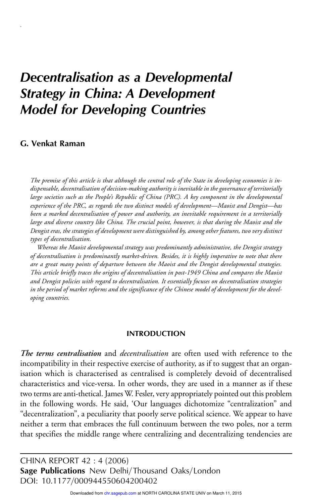# Decentralisation as a Developmental Strategy in China: A Development Model for Developing Countries

# G. Venkat Raman

*The premise of this article is that although the central role of the State in developing economies is indispensable, decentralisation of decision-making authority is inevitable in the governance of territorially large societies such as the People's Republic of China (PRC). A key component in the developmental experience of the PRC, as regards the two distinct models of development—Maoist and Dengist—has been a marked decentralisation of power and authority, an inevitable requirement in a territorially large and diverse country like China. The crucial point, however, is that during the Maoist and the Dengist eras, the strategies of development were distinguished by, among other features, two very distinct types of decentralisation.*

*Decentralisation as a Developmental Strategy in China* 369

*Whereas the Maoist developmental strategy was predominantly administrative, the Dengist strategy of decentralisation is predominantly market-driven. Besides, it is highly imperative to note that there are a great many points of departure between the Maoist and the Dengist developmental strategies. This article briefly traces the origins of decentralisation in post-1949 China and compares the Maoist and Dengist policies with regard to decentralisation. It essentially focuses on decentralisation strategies in the period of market reforms and the significance of the Chinese model of development for the developing countries.*

## INTRODUCTION

*The terms centralisation* and *decentralisation* are often used with reference to the incompatibility in their respective exercise of authority, as if to suggest that an organisation which is characterised as centralised is completely devoid of decentralised characteristics and vice-versa. In other words, they are used in a manner as if these two terms are anti-thetical. James W. Fesler, very appropriately pointed out this problem in the following words. He said, 'Our languages dichotomize "centralization" and "decentralization", a peculiarity that poorly serve political science. We appear to have neither a term that embraces the full continuum between the two poles, nor a term that specifies the middle range where centralizing and decentralizing tendencies are

CHINA REPORT 42 : 4 (2006) Sage Publications New Delhi/Thousand Oaks/London DOI: 10.1177/000944550604200402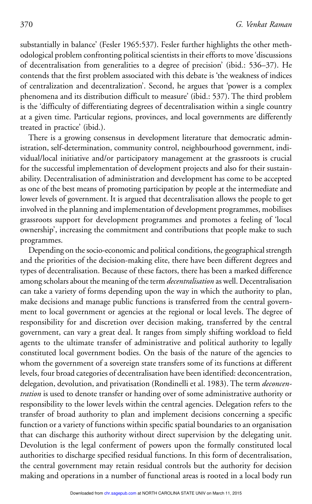substantially in balance' (Fesler 1965:537). Fesler further highlights the other methodological problem confronting political scientists in their efforts to move 'discussions of decentralisation from generalities to a degree of precision' (ibid.: 536–37). He contends that the first problem associated with this debate is 'the weakness of indices of centralization and decentralization'. Second, he argues that 'power is a complex phenomena and its distribution difficult to measure' (ibid.: 537). The third problem is the 'difficulty of differentiating degrees of decentralisation within a single country at a given time. Particular regions, provinces, and local governments are differently treated in practice' (ibid.).

There is a growing consensus in development literature that democratic administration, self-determination, community control, neighbourhood government, individual/local initiative and/or participatory management at the grassroots is crucial for the successful implementation of development projects and also for their sustainability. Decentralisation of administration and development has come to be accepted as one of the best means of promoting participation by people at the intermediate and lower levels of government. It is argued that decentralisation allows the people to get involved in the planning and implementation of development programmes, mobilises grassroots support for development programmes and promotes a feeling of 'local ownership', increasing the commitment and contributions that people make to such programmes.

Depending on the socio-economic and political conditions, the geographical strength and the priorities of the decision-making elite, there have been different degrees and types of decentralisation. Because of these factors, there has been a marked difference among scholars about the meaning of the term *decentralisation* as well. Decentralisation can take a variety of forms depending upon the way in which the authority to plan, make decisions and manage public functions is transferred from the central government to local government or agencies at the regional or local levels. The degree of responsibility for and discretion over decision making, transferred by the central government, can vary a great deal. It ranges from simply shifting workload to field agents to the ultimate transfer of administrative and political authority to legally constituted local government bodies. On the basis of the nature of the agencies to whom the government of a sovereign state transfers some of its functions at different levels, four broad categories of decentralisation have been identified: deconcentration, delegation, devolution, and privatisation (Rondinelli et al. 1983). The term *deconcentration* is used to denote transfer or handing over of some administrative authority or responsibility to the lower levels within the central agencies. Delegation refers to the transfer of broad authority to plan and implement decisions concerning a specific function or a variety of functions within specific spatial boundaries to an organisation that can discharge this authority without direct supervision by the delegating unit. Devolution is the legal conferment of powers upon the formally constituted local authorities to discharge specified residual functions. In this form of decentralisation, the central government may retain residual controls but the authority for decision making and operations in a number of functional areas is rooted in a local body run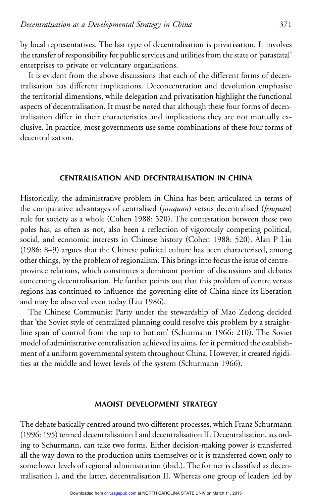by local representatives. The last type of decentralisation is privatisation. It involves the transfer of responsibility for public services and utilities from the state or 'parastatal' enterprises to private or voluntary organisations.

It is evident from the above discussions that each of the different forms of decentralisation has different implications. Deconcentration and devolution emphasise the territorial dimensions, while delegation and privatisation highlight the functional aspects of decentralisation. It must be noted that although these four forms of decentralisation differ in their characteristics and implications they are not mutually exclusive. In practice, most governments use some combinations of these four forms of decentralisation.

## CENTRALISATION AND DECENTRALISATION IN CHINA

Historically, the administrative problem in China has been articulated in terms of the comparative advantages of centralised (*junquan*) versus decentralised (*fenquan*) rule for society as a whole (Cohen 1988: 520). The contestation between these two poles has, as often as not, also been a reflection of vigorously competing political, social, and economic interests in Chinese history (Cohen 1988: 520). Alan P Liu (1986: 8–9) argues that the Chinese political culture has been characterised, among other things, by the problem of regionalism. This brings into focus the issue of centre– province relations, which constitutes a dominant portion of discussions and debates concerning decentralisation. He further points out that this problem of centre versus regions has continued to influence the governing elite of China since its liberation and may be observed even today (Liu 1986).

The Chinese Communist Party under the stewardship of Mao Zedong decided that 'the Soviet style of centralized planning could resolve this problem by a straightline span of control from the top to bottom' (Schurmann 1966: 210). The Soviet model of administrative centralisation achieved its aims, for it permitted the establishment of a uniform governmental system throughout China. However, it created rigidities at the middle and lower levels of the system (Schurmann 1966).

## MAOIST DEVELOPMENT STRATEGY

The debate basically centred around two different processes, which Franz Schurmann (1996: 195) termed decentralisation I and decentralisation II. Decentralisation, according to Schurmann, can take two forms. Either decision-making power is transferred all the way down to the production units themselves or it is transferred down only to some lower levels of regional administration (ibid.). The former is classified as decentralisation I, and the latter, decentralisation II. Whereas one group of leaders led by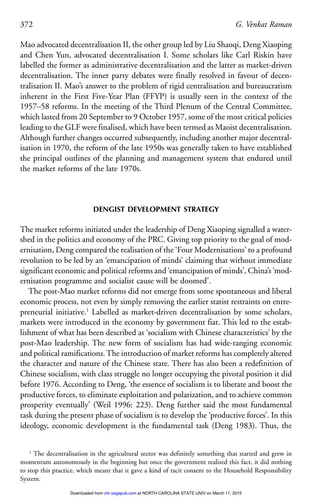Mao advocated decentralisation II, the other group led by Liu Shaoqi, Deng Xiaoping and Chen Yun, advocated decentralisation I. Some scholars like Carl Riskin have labelled the former as administrative decentralisation and the latter as market-driven decentralisation. The inner party debates were finally resolved in favour of decentralisation II. Mao's answer to the problem of rigid centralisation and bureaucratism inherent in the First Five-Year Plan (FFYP) is usually seen in the context of the 1957–58 reforms. In the meeting of the Third Plenum of the Central Committee, which lasted from 20 September to 9 October 1957, some of the most critical policies leading to the GLF were finalised, which have been termed as Maoist decentralisation. Although further changes occurred subsequently, including another major decentralisation in 1970, the reform of the late 1950s was generally taken to have established the principal outlines of the planning and management system that endured until the market reforms of the late 1970s.

#### DENGIST DEVELOPMENT STRATEGY

The market reforms initiated under the leadership of Deng Xiaoping signalled a watershed in the politics and economy of the PRC. Giving top priority to the goal of modernisation, Deng compared the realisation of the 'Four Modernisations' to a profound revolution to be led by an 'emancipation of minds' claiming that without immediate significant economic and political reforms and 'emancipation of minds', China's 'modernisation programme and socialist cause will be doomed'.

The post-Mao market reforms did not emerge from some spontaneous and liberal economic process, not even by simply removing the earlier statist restraints on entrepreneurial initiative.<sup>1</sup> Labelled as market-driven decentralisation by some scholars, markets were introduced in the economy by government fiat. This led to the establishment of what has been described as 'socialism with Chinese characteristics' by the post-Mao leadership. The new form of socialism has had wide-ranging economic and political ramifications. The introduction of market reforms has completely altered the character and nature of the Chinese state. There has also been a redefinition of Chinese socialism, with class struggle no longer occupying the pivotal position it did before 1976. According to Deng, 'the essence of socialism is to liberate and boost the productive forces, to eliminate exploitation and polarization, and to achieve common prosperity eventually' (Weil 1996: 223). Deng further said the most fundamental task during the present phase of socialism is to develop the 'productive forces'. In this ideology, economic development is the fundamental task (Deng 1983). Thus, the

<sup>&</sup>lt;sup>1</sup> The decentralisation in the agricultural sector was definitely something that started and grew in momentum autonomously in the beginning but once the government realised this fact, it did nothing to stop this practice, which meant that it gave a kind of tacit consent to the Household Responsibility System.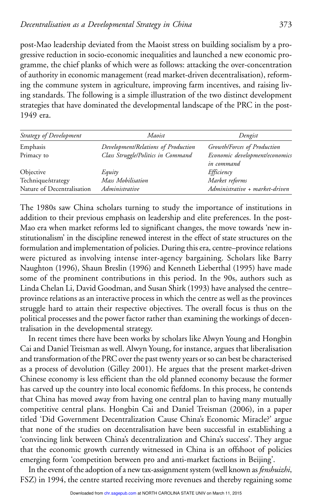post-Mao leadership deviated from the Maoist stress on building socialism by a progressive reduction in socio-economic inequalities and launched a new economic programme, the chief planks of which were as follows: attacking the over-concentration of authority in economic management (read market-driven decentralisation), reforming the commune system in agriculture, improving farm incentives, and raising living standards. The following is a simple illustration of the two distinct development strategies that have dominated the developmental landscape of the PRC in the post-1949 era.

| Strategy of Development    | Maoist                              | Dengist                                      |
|----------------------------|-------------------------------------|----------------------------------------------|
| Emphasis                   | Development/Relations of Production | Growth/Forces of Production                  |
| Primacy to                 | Class Struggle/Politics in Command  | Economic development/economics<br>in command |
| Objective                  | Equity                              | Efficiency                                   |
| Technique/strategy         | Mass Mobilisation                   | Market reforms                               |
| Nature of Decentralisation | Administrative                      | Administrative + market-driven               |

The 1980s saw China scholars turning to study the importance of institutions in addition to their previous emphasis on leadership and elite preferences. In the post-Mao era when market reforms led to significant changes, the move towards 'new institutionalism' in the discipline renewed interest in the effect of state structures on the formulation and implementation of policies. During this era, centre–province relations were pictured as involving intense inter-agency bargaining. Scholars like Barry Naughton (1996), Shaun Breslin (1996) and Kenneth Lieberthal (1995) have made some of the prominent contributions in this period. In the 90s, authors such as Linda Chelan Li, David Goodman, and Susan Shirk (1993) have analysed the centre– province relations as an interactive process in which the centre as well as the provinces struggle hard to attain their respective objectives. The overall focus is thus on the political processes and the power factor rather than examining the workings of decentralisation in the developmental strategy.

In recent times there have been works by scholars like Alwyn Young and Hongbin Cai and Daniel Treisman as well. Alwyn Young, for instance, argues that liberalisation and transformation of the PRC over the past twenty years or so can best be characterised as a process of devolution (Gilley 2001). He argues that the present market-driven Chinese economy is less efficient than the old planned economy because the former has carved up the country into local economic fiefdoms. In this process, he contends that China has moved away from having one central plan to having many mutually competitive central plans. Hongbin Cai and Daniel Treisman (2006), in a paper titled 'Did Government Decentralization Cause China's Economic Miracle?' argue that none of the studies on decentralisation have been successful in establishing a 'convincing link between China's decentralization and China's success'. They argue that the economic growth currently witnessed in China is an offshoot of policies emerging form 'competition between pro and anti-market factions in Beijing'.

In the event of the adoption of a new tax-assignment system (well known as *fenshuizhi*, FSZ) in 1994, the centre started receiving more revenues and thereby regaining some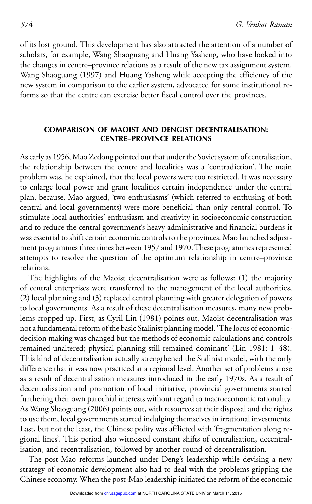of its lost ground. This development has also attracted the attention of a number of scholars, for example, Wang Shaoguang and Huang Yasheng, who have looked into the changes in centre–province relations as a result of the new tax assignment system. Wang Shaoguang (1997) and Huang Yasheng while accepting the efficiency of the new system in comparison to the earlier system, advocated for some institutional reforms so that the centre can exercise better fiscal control over the provinces.

## COMPARISON OF MAOIST AND DENGIST DECENTRALISATION: CENTRE–PROVINCE RELATIONS

As early as 1956, Mao Zedong pointed out that under the Soviet system of centralisation, the relationship between the centre and localities was a 'contradiction'. The main problem was, he explained, that the local powers were too restricted. It was necessary to enlarge local power and grant localities certain independence under the central plan, because, Mao argued, 'two enthusiasms' (which referred to enthusing of both central and local governments) were more beneficial than only central control. To stimulate local authorities' enthusiasm and creativity in socioeconomic construction and to reduce the central government's heavy administrative and financial burdens it was essential to shift certain economic controls to the provinces. Mao launched adjustment programmes three times between 1957 and 1970. These programmes represented attempts to resolve the question of the optimum relationship in centre–province relations.

The highlights of the Maoist decentralisation were as follows: (1) the majority of central enterprises were transferred to the management of the local authorities, (2) local planning and (3) replaced central planning with greater delegation of powers to local governments. As a result of these decentralisation measures, many new problems cropped up. First, as Cyril Lin (1981) points out, Maoist decentralisation was not a fundamental reform of the basic Stalinist planning model. 'The locus of economicdecision making was changed but the methods of economic calculations and controls remained unaltered; physical planning still remained dominant' (Lin 1981: 1–48). This kind of decentralisation actually strengthened the Stalinist model, with the only difference that it was now practiced at a regional level. Another set of problems arose as a result of decentralisation measures introduced in the early 1970s. As a result of decentralisation and promotion of local initiative, provincial governments started furthering their own parochial interests without regard to macroeconomic rationality. As Wang Shaoguang (2006) points out, with resources at their disposal and the rights to use them, local governments started indulging themselves in irrational investments. Last, but not the least, the Chinese polity was afflicted with 'fragmentation along regional lines'. This period also witnessed constant shifts of centralisation, decentralisation, and recentralisation, followed by another round of decentralisation.

The post-Mao reforms launched under Deng's leadership while devising a new strategy of economic development also had to deal with the problems gripping the Chinese economy. When the post-Mao leadership initiated the reform of the economic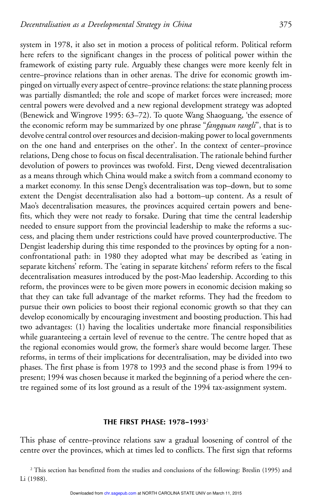system in 1978, it also set in motion a process of political reform. Political reform here refers to the significant changes in the process of political power within the framework of existing party rule. Arguably these changes were more keenly felt in centre–province relations than in other arenas. The drive for economic growth impinged on virtually every aspect of centre–province relations: the state planning process was partially dismantled; the role and scope of market forces were increased; more central powers were devolved and a new regional development strategy was adopted (Benewick and Wingrove 1995: 63–72). To quote Wang Shaoguang, 'the essence of the economic reform may be summarized by one phrase "*fangquan rangli*", that is to devolve central control over resources and decision-making power to local governments on the one hand and enterprises on the other'. In the context of center–province relations, Deng chose to focus on fiscal decentralisation. The rationale behind further devolution of powers to provinces was twofold. First, Deng viewed decentralisation as a means through which China would make a switch from a command economy to a market economy. In this sense Deng's decentralisation was top–down, but to some extent the Dengist decentralisation also had a bottom–up content. As a result of Mao's decentralisation measures, the provinces acquired certain powers and benefits, which they were not ready to forsake. During that time the central leadership needed to ensure support from the provincial leadership to make the reforms a success, and placing them under restrictions could have proved counterproductive. The Dengist leadership during this time responded to the provinces by opting for a nonconfrontational path: in 1980 they adopted what may be described as 'eating in separate kitchens' reform. The 'eating in separate kitchens' reform refers to the fiscal decentralisation measures introduced by the post-Mao leadership. According to this reform, the provinces were to be given more powers in economic decision making so that they can take full advantage of the market reforms. They had the freedom to pursue their own policies to boost their regional economic growth so that they can develop economically by encouraging investment and boosting production. This had two advantages: (1) having the localities undertake more financial responsibilities while guaranteeing a certain level of revenue to the centre. The centre hoped that as the regional economies would grow, the former's share would become larger. These reforms, in terms of their implications for decentralisation, may be divided into two phases. The first phase is from 1978 to 1993 and the second phase is from 1994 to present; 1994 was chosen because it marked the beginning of a period where the centre regained some of its lost ground as a result of the 1994 tax-assignment system.

## THE FIRST PHASE: 1978–1993<sup>2</sup>

This phase of centre–province relations saw a gradual loosening of control of the centre over the provinces, which at times led to conflicts. The first sign that reforms

<sup>2</sup> This section has benefitted from the studies and conclusions of the following: Breslin (1995) and Li (1988).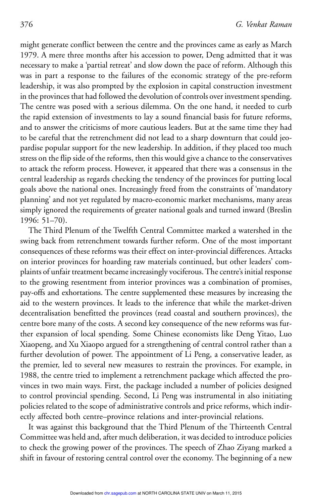might generate conflict between the centre and the provinces came as early as March 1979. A mere three months after his accession to power, Deng admitted that it was necessary to make a 'partial retreat' and slow down the pace of reform. Although this was in part a response to the failures of the economic strategy of the pre-reform leadership, it was also prompted by the explosion in capital construction investment in the provinces that had followed the devolution of controls over investment spending. The centre was posed with a serious dilemma. On the one hand, it needed to curb the rapid extension of investments to lay a sound financial basis for future reforms, and to answer the criticisms of more cautious leaders. But at the same time they had to be careful that the retrenchment did not lead to a sharp downturn that could jeopardise popular support for the new leadership. In addition, if they placed too much stress on the flip side of the reforms, then this would give a chance to the conservatives to attack the reform process. However, it appeared that there was a consensus in the central leadership as regards checking the tendency of the provinces for putting local goals above the national ones. Increasingly freed from the constraints of 'mandatory planning' and not yet regulated by macro-economic market mechanisms, many areas simply ignored the requirements of greater national goals and turned inward (Breslin 1996: 51–70).

The Third Plenum of the Twelfth Central Committee marked a watershed in the swing back from retrenchment towards further reform. One of the most important consequences of these reforms was their effect on inter-provincial differences. Attacks on interior provinces for hoarding raw materials continued, but other leaders' complaints of unfair treatment became increasingly vociferous. The centre's initial response to the growing resentment from interior provinces was a combination of promises, pay-offs and exhortations. The centre supplemented these measures by increasing the aid to the western provinces. It leads to the inference that while the market-driven decentralisation benefitted the provinces (read coastal and southern provinces), the centre bore many of the costs. A second key consequence of the new reforms was further expansion of local spending. Some Chinese economists like Deng Yitao, Luo Xiaopeng, and Xu Xiaopo argued for a strengthening of central control rather than a further devolution of power. The appointment of Li Peng, a conservative leader, as the premier, led to several new measures to restrain the provinces. For example, in 1988, the centre tried to implement a retrenchment package which affected the provinces in two main ways. First, the package included a number of policies designed to control provincial spending. Second, Li Peng was instrumental in also initiating policies related to the scope of administrative controls and price reforms, which indirectly affected both centre–province relations and inter-provincial relations.

It was against this background that the Third Plenum of the Thirteenth Central Committee was held and, after much deliberation, it was decided to introduce policies to check the growing power of the provinces. The speech of Zhao Ziyang marked a shift in favour of restoring central control over the economy. The beginning of a new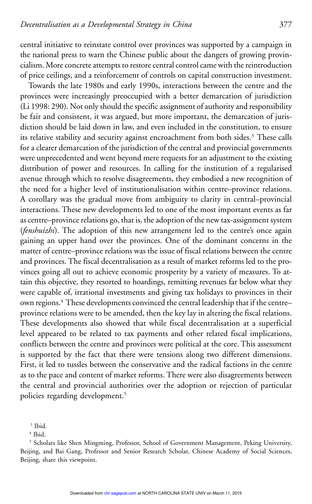central initiative to reinstate control over provinces was supported by a campaign in the national press to warn the Chinese public about the dangers of growing provincialism. More concrete attempts to restore central control came with the reintroduction of price ceilings, and a reinforcement of controls on capital construction investment.

Towards the late 1980s and early 1990s, interactions between the centre and the provinces were increasingly preoccupied with a better demarcation of jurisdiction (Li 1998: 290). Not only should the specific assignment of authority and responsibility be fair and consistent, it was argued, but more important, the demarcation of jurisdiction should be laid down in law, and even included in the constitution, to ensure its relative stability and security against encroachment from both sides. $3$  These calls for a clearer demarcation of the jurisdiction of the central and provincial governments were unprecedented and went beyond mere requests for an adjustment to the existing distribution of power and resources. In calling for the institution of a regularised avenue through which to resolve disagreements, they embodied a new recognition of the need for a higher level of institutionalisation within centre–province relations. A corollary was the gradual move from ambiguity to clarity in central–provincial interactions. These new developments led to one of the most important events as far as centre–province relations go, that is, the adoption of the new tax-assignment system (*fenshuizhi*). The adoption of this new arrangement led to the centre's once again gaining an upper hand over the provinces. One of the dominant concerns in the matter of centre–province relations was the issue of fiscal relations between the centre and provinces. The fiscal decentralisation as a result of market reforms led to the provinces going all out to achieve economic prosperity by a variety of measures. To attain this objective, they resorted to hoardings, remitting revenues far below what they were capable of, irrational investments and giving tax holidays to provinces in their own regions.<sup>4</sup> These developments convinced the central leadership that if the centre– province relations were to be amended, then the key lay in altering the fiscal relations. These developments also showed that while fiscal decentralisation at a superficial level appeared to be related to tax payments and other related fiscal implications, conflicts between the centre and provinces were political at the core. This assessment is supported by the fact that there were tensions along two different dimensions. First, it led to tussles between the conservative and the radical factions in the centre as to the pace and content of market reforms. There were also disagreements between the central and provincial authorities over the adoption or rejection of particular policies regarding development.<sup>5</sup>

3 Ibid.

<sup>4</sup> Ibid.

<sup>5</sup> Scholars like Shen Mingming, Professor, School of Government Management, Peking University, Beijing, and Bai Gang, Professor and Senior Research Scholar, Chinese Academy of Social Sciences, Beijing, share this viewpoint.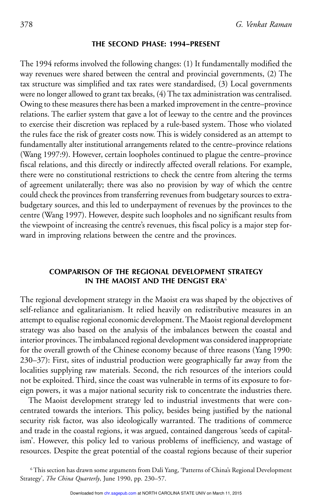#### THE SECOND PHASE: 1994–PRESENT

The 1994 reforms involved the following changes: (1) It fundamentally modified the way revenues were shared between the central and provincial governments, (2) The tax structure was simplified and tax rates were standardised, (3) Local governments were no longer allowed to grant tax breaks, (4) The tax administration was centralised. Owing to these measures there has been a marked improvement in the centre–province relations. The earlier system that gave a lot of leeway to the centre and the provinces to exercise their discretion was replaced by a rule-based system. Those who violated the rules face the risk of greater costs now. This is widely considered as an attempt to fundamentally alter institutional arrangements related to the centre–province relations (Wang 1997:9). However, certain loopholes continued to plague the centre–province fiscal relations, and this directly or indirectly affected overall relations. For example, there were no constitutional restrictions to check the centre from altering the terms of agreement unilaterally; there was also no provision by way of which the centre could check the provinces from transferring revenues from budgetary sources to extrabudgetary sources, and this led to underpayment of revenues by the provinces to the centre (Wang 1997). However, despite such loopholes and no significant results from the viewpoint of increasing the centre's revenues, this fiscal policy is a major step forward in improving relations between the centre and the provinces.

## COMPARISON OF THE REGIONAL DEVELOPMENT STRATEGY IN THE MAOIST AND THE DENGIST ERA<sup>6</sup>

The regional development strategy in the Maoist era was shaped by the objectives of self-reliance and egalitarianism. It relied heavily on redistributive measures in an attempt to equalise regional economic development. The Maoist regional development strategy was also based on the analysis of the imbalances between the coastal and interior provinces. The imbalanced regional development was considered inappropriate for the overall growth of the Chinese economy because of three reasons (Yang 1990: 230–37): First, sites of industrial production were geographically far away from the localities supplying raw materials. Second, the rich resources of the interiors could not be exploited. Third, since the coast was vulnerable in terms of its exposure to foreign powers, it was a major national security risk to concentrate the industries there.

The Maoist development strategy led to industrial investments that were concentrated towards the interiors. This policy, besides being justified by the national security risk factor, was also ideologically warranted. The traditions of commerce and trade in the coastal regions, it was argued, contained dangerous 'seeds of capitalism'. However, this policy led to various problems of inefficiency, and wastage of resources. Despite the great potential of the coastal regions because of their superior

 $^6$  This section has drawn some arguments from Dali Yang, 'Patterns of China's Regional Development Strategy'*, The China Quarterly*, June 1990, pp. 230–57.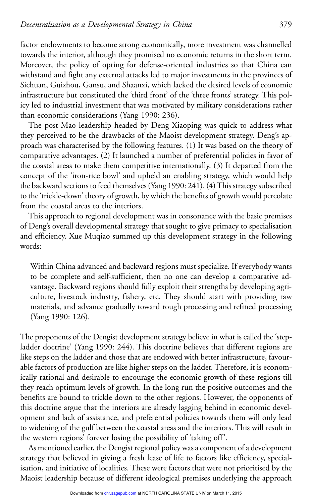factor endowments to become strong economically, more investment was channelled towards the interior, although they promised no economic returns in the short term. Moreover, the policy of opting for defense-oriented industries so that China can withstand and fight any external attacks led to major investments in the provinces of Sichuan, Guizhou, Gansu, and Shaanxi, which lacked the desired levels of economic infrastructure but constituted the 'third front' of the 'three fronts' strategy. This policy led to industrial investment that was motivated by military considerations rather than economic considerations (Yang 1990: 236).

The post-Mao leadership headed by Deng Xiaoping was quick to address what they perceived to be the drawbacks of the Maoist development strategy. Deng's approach was characterised by the following features. (1) It was based on the theory of comparative advantages. (2) It launched a number of preferential policies in favor of the coastal areas to make them competitive internationally. (3) It departed from the concept of the 'iron-rice bowl' and upheld an enabling strategy, which would help the backward sections to feed themselves (Yang 1990: 241). (4) This strategy subscribed to the 'trickle-down' theory of growth, by which the benefits of growth would percolate from the coastal areas to the interiors.

This approach to regional development was in consonance with the basic premises of Deng's overall developmental strategy that sought to give primacy to specialisation and efficiency. Xue Muqiao summed up this development strategy in the following words:

Within China advanced and backward regions must specialize. If everybody wants to be complete and self-sufficient, then no one can develop a comparative advantage. Backward regions should fully exploit their strengths by developing agriculture, livestock industry, fishery, etc. They should start with providing raw materials, and advance gradually toward rough processing and refined processing (Yang 1990: 126).

The proponents of the Dengist development strategy believe in what is called the 'stepladder doctrine' (Yang 1990: 244). This doctrine believes that different regions are like steps on the ladder and those that are endowed with better infrastructure, favourable factors of production are like higher steps on the ladder. Therefore, it is economically rational and desirable to encourage the economic growth of these regions till they reach optimum levels of growth. In the long run the positive outcomes and the benefits are bound to trickle down to the other regions. However, the opponents of this doctrine argue that the interiors are already lagging behind in economic development and lack of assistance, and preferential policies towards them will only lead to widening of the gulf between the coastal areas and the interiors. This will result in the western regions' forever losing the possibility of 'taking off'.

As mentioned earlier, the Dengist regional policy was a component of a development strategy that believed in giving a fresh lease of life to factors like efficiency, specialisation, and initiative of localities. These were factors that were not prioritised by the Maoist leadership because of different ideological premises underlying the approach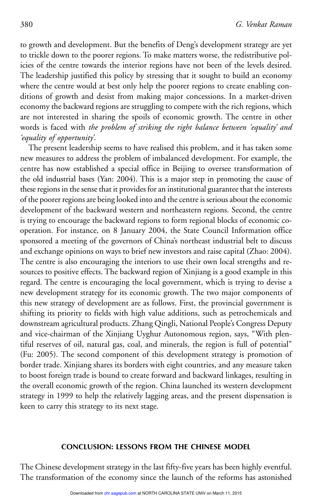to growth and development. But the benefits of Deng's development strategy are yet to trickle down to the poorer regions. To make matters worse, the redistributive policies of the centre towards the interior regions have not been of the levels desired. The leadership justified this policy by stressing that it sought to build an economy where the centre would at best only help the poorer regions to create enabling conditions of growth and desist from making major concessions. In a market-driven economy the backward regions are struggling to compete with the rich regions, which are not interested in sharing the spoils of economic growth. The centre in other words is faced with *the problem of striking the right balance between 'equality' and 'equality of opportunity'*.

The present leadership seems to have realised this problem, and it has taken some new measures to address the problem of imbalanced development. For example, the centre has now established a special office in Beijing to oversee transformation of the old industrial bases (Yan: 2004). This is a major step in promoting the cause of these regions in the sense that it provides for an institutional guarantee that the interests of the poorer regions are being looked into and the centre is serious about the economic development of the backward western and northeastern regions. Second, the centre is trying to encourage the backward regions to form regional blocks of economic cooperation. For instance, on 8 January 2004, the State Council Information office sponsored a meeting of the governors of China's northeast industrial belt to discuss and exchange opinions on ways to brief new investors and raise capital (Zhao: 2004). The centre is also encouraging the interiors to use their own local strengths and resources to positive effects. The backward region of Xinjiang is a good example in this regard. The centre is encouraging the local government, which is trying to devise a new development strategy for its economic growth. The two major components of this new strategy of development are as follows. First, the provincial government is shifting its priority to fields with high value additions, such as petrochemicals and downstream agricultural products. Zhang Qingli, National People's Congress Deputy and vice-chairman of the Xinjiang Uyghur Autonomous region, says, "With plentiful reserves of oil, natural gas, coal, and minerals, the region is full of potential" (Fu: 2005). The second component of this development strategy is promotion of border trade. Xinjiang shares its borders with eight countries, and any measure taken to boost foreign trade is bound to create forward and backward linkages, resulting in the overall economic growth of the region. China launched its western development strategy in 1999 to help the relatively lagging areas, and the present dispensation is keen to carry this strategy to its next stage.

## CONCLUSION: LESSONS FROM THE CHINESE MODEL

The Chinese development strategy in the last fifty-five years has been highly eventful. The transformation of the economy since the launch of the reforms has astonished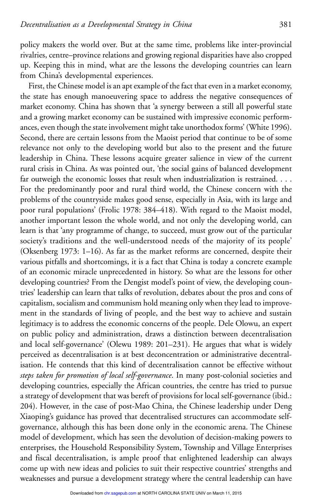policy makers the world over. But at the same time, problems like inter-provincial rivalries, centre–province relations and growing regional disparities have also cropped up. Keeping this in mind, what are the lessons the developing countries can learn from China's developmental experiences.

First, the Chinese model is an apt example of the fact that even in a market economy, the state has enough manoeuvering space to address the negative consequences of market economy. China has shown that 'a synergy between a still all powerful state and a growing market economy can be sustained with impressive economic performances, even though the state involvement might take unorthodox forms' (White 1996). Second, there are certain lessons from the Maoist period that continue to be of some relevance not only to the developing world but also to the present and the future leadership in China. These lessons acquire greater salience in view of the current rural crisis in China. As was pointed out, 'the social gains of balanced development far outweigh the economic losses that result when industrialization is restrained. . . . For the predominantly poor and rural third world, the Chinese concern with the problems of the countryside makes good sense, especially in Asia, with its large and poor rural populations' (Frolic 1978: 384–418). With regard to the Maoist model, another important lesson the whole world, and not only the developing world, can learn is that 'any programme of change, to succeed, must grow out of the particular society's traditions and the well-understood needs of the majority of its people' (Oksenberg 1973: 1–16). As far as the market reforms are concerned, despite their various pitfalls and shortcomings, it is a fact that China is today a concrete example of an economic miracle unprecedented in history. So what are the lessons for other developing countries? From the Dengist model's point of view, the developing countries' leadership can learn that talks of revolution, debates about the pros and cons of capitalism, socialism and communism hold meaning only when they lead to improvement in the standards of living of people, and the best way to achieve and sustain legitimacy is to address the economic concerns of the people. Dele Olowu, an expert on public policy and administration, draws a distinction between decentralisation and local self-governance' (Olewu 1989: 201–231). He argues that what is widely perceived as decentralisation is at best deconcentration or administrative decentralisation. He contends that this kind of decentralisation cannot be effective without *steps taken for promotion of local self-governance*. In many post-colonial societies and developing countries, especially the African countries, the centre has tried to pursue a strategy of development that was bereft of provisions for local self-governance (ibid.: 204). However, in the case of post-Mao China, the Chinese leadership under Deng Xiaoping's guidance has proved that decentralised structures can accommodate selfgovernance, although this has been done only in the economic arena. The Chinese model of development, which has seen the devolution of decision-making powers to enterprises, the Household Responsibility System, Township and Village Enterprises and fiscal decentralisation, is ample proof that enlightened leadership can always come up with new ideas and policies to suit their respective countries' strengths and weaknesses and pursue a development strategy where the central leadership can have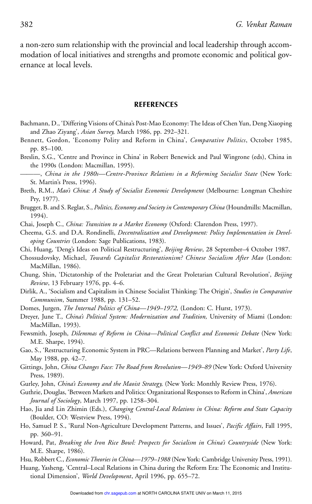a non-zero sum relationship with the provincial and local leadership through accommodation of local initiatives and strengths and promote economic and political governance at local levels.

#### REFERENCES

- Bachmann, D., 'Differing Visions of China's Post-Mao Economy: The Ideas of Chen Yun, Deng Xiaoping and Zhao Ziyang', *Asian Survey,* March 1986, pp. 292–321.
- Bennett, Gordon, 'Economy Polity and Reform in China', *Comparative Politics*, October 1985, pp. 85–100.
- Breslin, S.G., 'Centre and Province in China' in Robert Benewick and Paul Wingrone (eds), China in the 1990s (London: Macmillan, 1995).
	- ———, *China in the 1980s—Centre-Province Relations in a Reforming Socialist State* (New York: St. Martin's Press, 1996).
- Breth, R.M., *Mao's China: A Study of Socialist Economic Development* (Melbourne: Longman Cheshire Pry, 1977).
- Brugger, B. and S. Reglar, S., *Politics, Economy and Society in Contemporary China* (Houndmills: Macmillan, 1994).
- Chai, Joseph C., *China: Transition to a Market Economy* (Oxford: Clarendon Press, 1997).
- Cheema, G.S. and D.A. Rondinelli, *Decentralization and Development: Policy Implementation in Developing Countries* (London: Sage Publications, 1983).
- Chi, Huang, 'Deng's Ideas on Political Restructuring', *Beijing Review*, 28 September–4 October 1987.
- Chossudovsky, Michael, *Towards Capitalist Restorationism? Chinese Socialism After Mao* (London: MacMillan, 1986).
- Chung, Shin, 'Dictatorship of the Proletariat and the Great Proletarian Cultural Revolution', *Beijing Review*, 13 February 1976, pp. 4–6.
- Dirlik, A., 'Socialism and Capitalism in Chinese Socialist Thinking: The Origin', *Studies in Comparative Communism*, Summer 1988, pp. 131–52.
- Domes, Jurgen, *The Internal Politics of China—1949–1972,* (London: C. Hurst, 1973).
- Dreyer, June T., *China's Political System: Modernization and Tradition,* University of Miami (London: MacMillan, 1993).
- Fewsmith, Joseph, *Dilemmas of Reform in China—Political Conflict and Economic Debate* (New York: M.E. Sharpe, 1994).
- Gao, S., 'Restructuring Economic System in PRC—Relations between Planning and Market', *Party Life*, May 1988, pp. 42–7.
- Gittings, John, *China Changes Face: The Road from Revolution—1949–89* (New York: Oxford University Press, 1989).
- Gurley, John, *China's Economy and the Maoist Strategy,* (New York: Monthly Review Press, 1976).
- Guthrie, Douglas, 'Between Markets and Politics: Organizational Responses to Reform in China', *American Journal of Sociology*, March 1997, pp. 1258–304.
- Hao, Jia and Lin Zhimin (Eds.), *Changing Central-Local Relations in China: Reform and State Capacity* (Boulder, CO: Westview Press, 1994).
- Ho, Samuel P. S., 'Rural Non-Agriculture Development Patterns, and Issues', *Pacific Affairs*, Fall 1995, pp. 360–91.
- Howard, Pat, *Breaking the Iron Rice Bowl: Prospects for Socialism in China's Countryside* (New York: M.E. Sharpe, 1986).
- Hsu, Robbert C., *Economic Theories in China—1979–1988* (New York: Cambridge University Press, 1991).
- Huang, Yasheng, 'Central–Local Relations in China during the Reform Era: The Economic and Institutional Dimension', *World Development*, April 1996, pp. 655–72.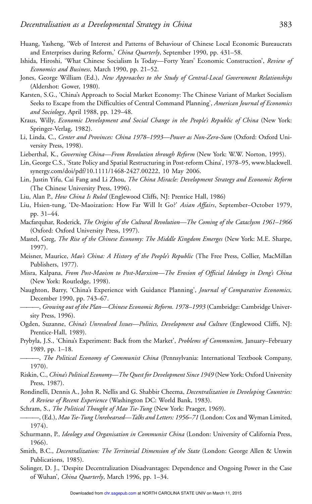- Huang, Yasheng, 'Web of Interest and Patterns of Behaviour of Chinese Local Economic Bureaucrats and Enterprises during Reform,' *China Quarterly*, September 1990, pp. 431–58.
- Ishida, Hiroshi, 'What Chinese Socialism Is Today—Forty Years' Economic Construction', *Review of Economics and Business*, March 1990, pp. 21–52.
- Jones, George William (Ed.), *New Approaches to the Study of Central-Local Government Relationships* (Aldershot: Gower, 1980).
- Karsten, S.G., 'China's Approach to Social Market Economy: The Chinese Variant of Market Socialism Seeks to Escape from the Difficulties of Central Command Planning', *American Journal of Economics and Sociology*, April 1988, pp. 129–48.
- Kraus, Willy, *Economic Development and Social Change in the People's Republic of China* (New York: Springer-Verlag, 1982).
- Li, Linda, C., *Center and Provinces: China 1978–1993—Power as Non-Zero-Sum* (Oxford: Oxford University Press, 1998).
- Lieberthal, K., *Governing China—From Revolution through Reform* (New York: W.W. Norton, 1995).
- Lin, George C.S., 'State Policy and Spatial Restructuring in Post-reform China', 1978–95, www.blackwell. synergy.com/doi/pdf/10.1111/1468-2427.00222, 10 May 2006.
- Lin, Justin Yifu, Cai Fang and Li Zhou, *The China Miracle: Development Strategy and Economic Reform* (The Chinese University Press, 1996).
- Liu, Alan P., *How China Is Ruled* (Englewood Cliffs, NJ: Prentice Hall, 1986)
- Liu, Hsien-tung, 'De-Maoization: How Far Will It Go?' *Asian Affairs*, September–October 1979, pp. 31–44.
- Macfarquhar, Roderick, *The Origins of the Cultural Revolution—The Coming of the Cataclysm 1961–1966* (Oxford: Oxford University Press, 1997).
- Mastel, Greg, *The Rise of the Chinese Economy: The Middle Kingdom Emerges* (New York: M.E. Sharpe, 1997).
- Meisner, Maurice, *Mao's China: A History of the People's Republic* (The Free Press, Collier, MacMillan Publishers, 1977).
- Misra, Kalpana, *From Post-Maoism to Post-Marxism—The Erosion of Official Ideology in Deng's China* (New York: Routledge, 1998).
- Naughton, Barry, 'China's Experience with Guidance Planning', *Journal of Comparative Economics,* December 1990, pp. 743–67.
- ———, *Growing out of the Plan—Chinese Economic Reform. 1978–1993* (Cambridge: Cambridge University Press, 1996).
- Ogden, Suzanne, *China's Unresolved Issues—Politics, Development and Culture* (Englewood Cliffs, NJ: Prentice-Hall, 1989).
- Prybyla, J.S., 'China's Experiment: Back from the Market', *Problems of Communism,* January–February 1989, pp. 1–18.
- ———, *The Political Economy of Communist China* (Pennsylvania: International Textbook Company, 1970).
- Riskin, C., *China's Political Economy—The Quest for Development Since 1949* (New York: Oxford University Press, 1987).
- Rondinelli, Dennis A., John R. Nellis and G. Shabbir Cheema, *Decentralization in Developing Countries: A Review of Recent Experience* (Washington DC: World Bank, 1983).
- Schram, S., *The Political Thought of Mao Tse-Tung* (New York: Praeger, 1969).
- ———, (Ed.), *Mao Tse-Tung Unrehearsed—Talks and Letters: 1956–71* (London: Cox and Wyman Limited, 1974).
- Schurmann, P., *Ideology and Organisation in Communist China* (London: University of California Press, 1966).
- Smith, B.C., *Decentralization: The Territorial Dimension of the State* (London: George Allen & Unwin Publications, 1985).
- Solinger, D. J., 'Despite Decentralization Disadvantages: Dependence and Ongoing Power in the Case of Wuhan', *China Quarterly*, March 1996, pp. 1–34.